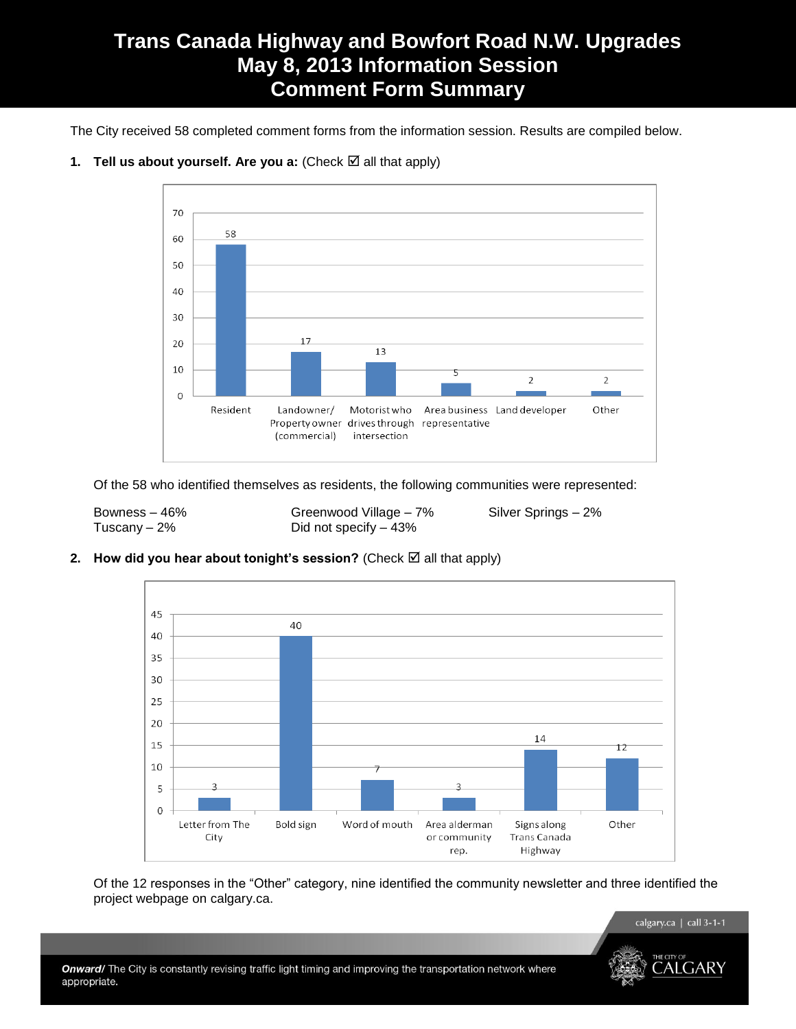# **Trans Canada Highway and Bowfort Road N.W. Upgrades May 8, 2013 Information Session Comment Form Summary**

The City received 58 completed comment forms from the information session. Results are compiled below.



## **1. Tell us about yourself. Are you a:** (Check  $\boxtimes$  all that apply)

Of the 58 who identified themselves as residents, the following communities were represented:

Bowness – 46% Greenwood Village – 7% Silver Springs – 2% Tuscany – 2% Did not specify – 43%

## **2.** How did you hear about tonight's session? (Check  $\boxtimes$  all that apply)



Of the 12 responses in the "Other" category, nine identified the community newsletter and three identified the project webpage on calgary.ca.

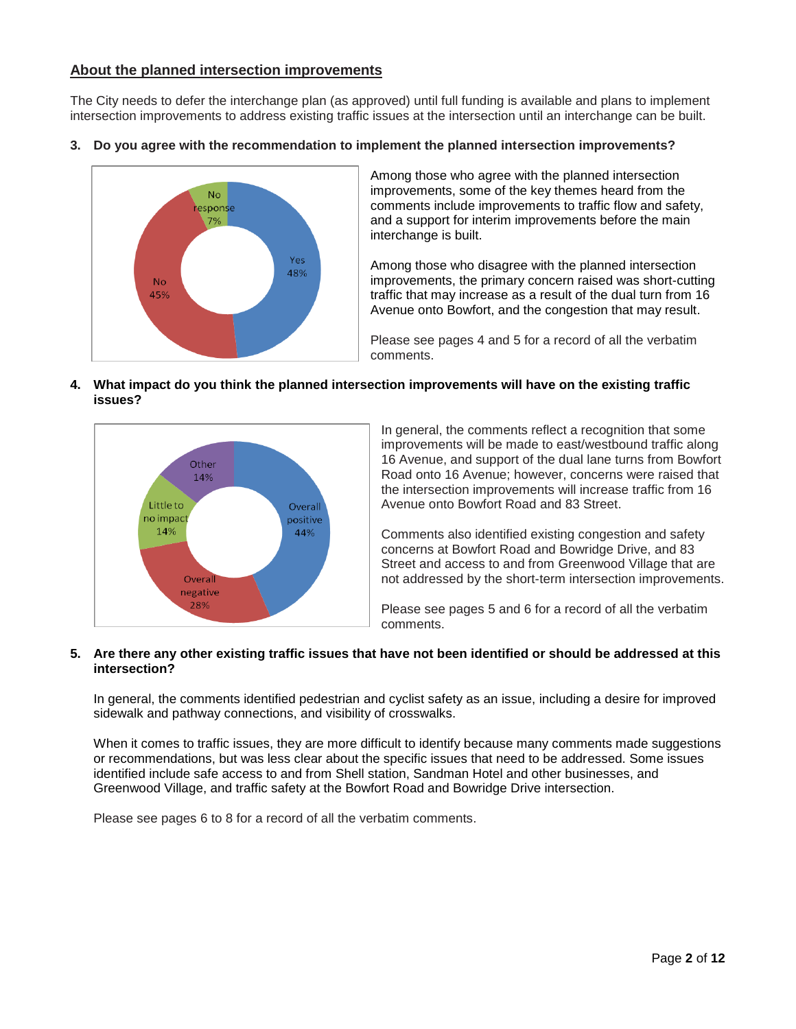# **About the planned intersection improvements**

The City needs to defer the interchange plan (as approved) until full funding is available and plans to implement intersection improvements to address existing traffic issues at the intersection until an interchange can be built.

**3. Do you agree with the recommendation to implement the planned intersection improvements?**



Among those who agree with the planned intersection improvements, some of the key themes heard from the comments include improvements to traffic flow and safety, and a support for interim improvements before the main interchange is built.

Among those who disagree with the planned intersection improvements, the primary concern raised was short-cutting traffic that may increase as a result of the dual turn from 16 Avenue onto Bowfort, and the congestion that may result.

Please see pages 4 and 5 for a record of all the verbatim comments.

**4. What impact do you think the planned intersection improvements will have on the existing traffic issues?**



In general, the comments reflect a recognition that some improvements will be made to east/westbound traffic along 16 Avenue, and support of the dual lane turns from Bowfort Road onto 16 Avenue; however, concerns were raised that the intersection improvements will increase traffic from 16 Avenue onto Bowfort Road and 83 Street.

Comments also identified existing congestion and safety concerns at Bowfort Road and Bowridge Drive, and 83 Street and access to and from Greenwood Village that are not addressed by the short-term intersection improvements.

Please see pages 5 and 6 for a record of all the verbatim comments.

## **5. Are there any other existing traffic issues that have not been identified or should be addressed at this intersection?**

In general, the comments identified pedestrian and cyclist safety as an issue, including a desire for improved sidewalk and pathway connections, and visibility of crosswalks.

When it comes to traffic issues, they are more difficult to identify because many comments made suggestions or recommendations, but was less clear about the specific issues that need to be addressed. Some issues identified include safe access to and from Shell station, Sandman Hotel and other businesses, and Greenwood Village, and traffic safety at the Bowfort Road and Bowridge Drive intersection.

Please see pages 6 to 8 for a record of all the verbatim comments.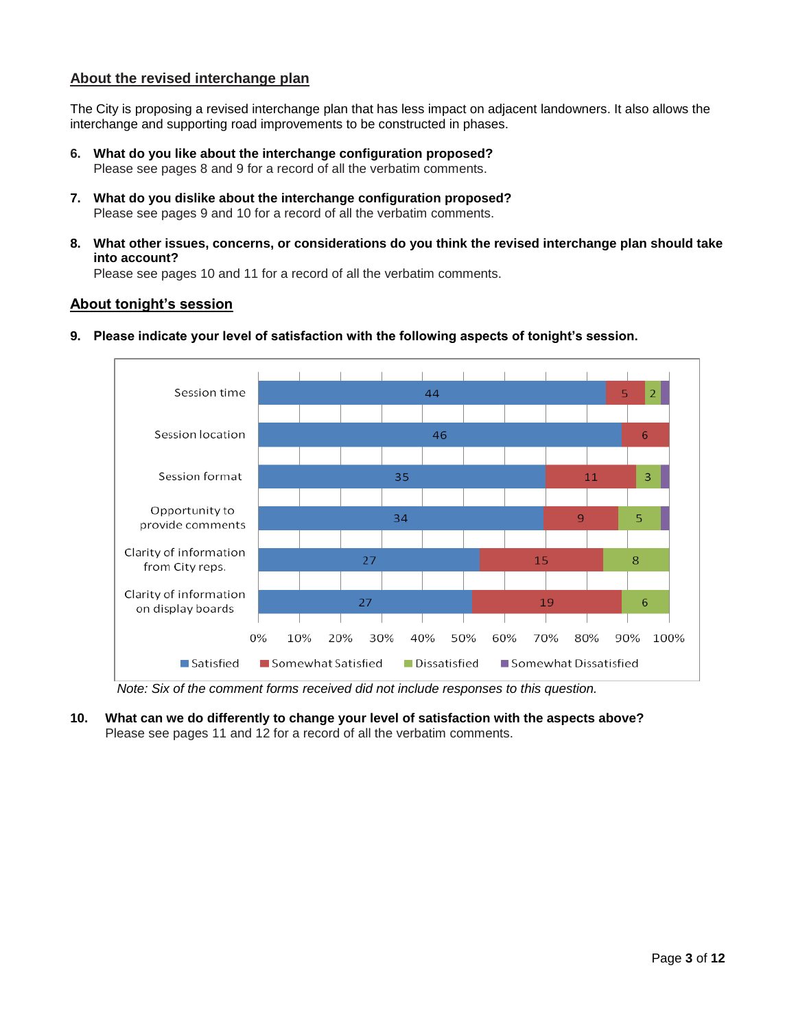# **About the revised interchange plan**

The City is proposing a revised interchange plan that has less impact on adjacent landowners. It also allows the interchange and supporting road improvements to be constructed in phases.

- **6. What do you like about the interchange configuration proposed?** Please see pages 8 and 9 for a record of all the verbatim comments.
- **7. What do you dislike about the interchange configuration proposed?** Please see pages 9 and 10 for a record of all the verbatim comments.
- **8. What other issues, concerns, or considerations do you think the revised interchange plan should take into account?**

Please see pages 10 and 11 for a record of all the verbatim comments.

# **About tonight's session**



**9. Please indicate your level of satisfaction with the following aspects of tonight's session.**

*Note: Six of the comment forms received did not include responses to this question.*

**10. What can we do differently to change your level of satisfaction with the aspects above?** Please see pages 11 and 12 for a record of all the verbatim comments.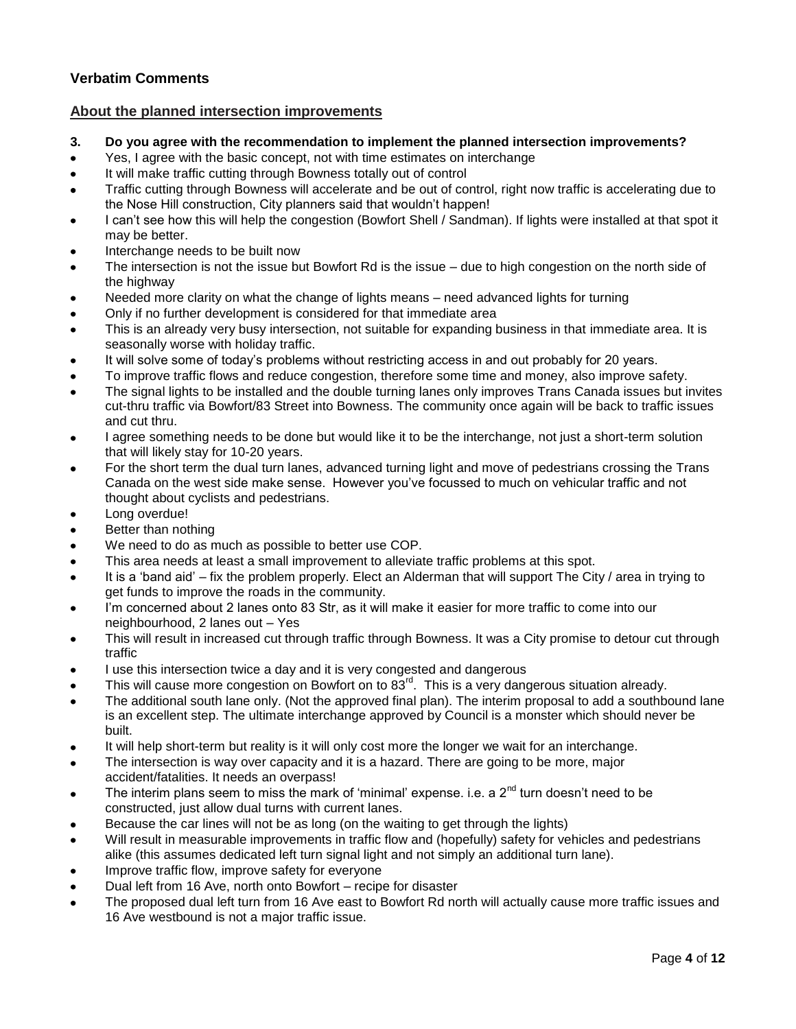# **Verbatim Comments**

# **About the planned intersection improvements**

- **3. Do you agree with the recommendation to implement the planned intersection improvements?**
- Yes, I agree with the basic concept, not with time estimates on interchange
- It will make traffic cutting through Bowness totally out of control
- Traffic cutting through Bowness will accelerate and be out of control, right now traffic is accelerating due to the Nose Hill construction, City planners said that wouldn"t happen!
- I can"t see how this will help the congestion (Bowfort Shell / Sandman). If lights were installed at that spot it may be better.
- Interchange needs to be built now
- The intersection is not the issue but Bowfort Rd is the issue due to high congestion on the north side of the highway
- Needed more clarity on what the change of lights means need advanced lights for turning
- Only if no further development is considered for that immediate area
- This is an already very busy intersection, not suitable for expanding business in that immediate area. It is seasonally worse with holiday traffic.
- It will solve some of today"s problems without restricting access in and out probably for 20 years.
- To improve traffic flows and reduce congestion, therefore some time and money, also improve safety.
- The signal lights to be installed and the double turning lanes only improves Trans Canada issues but invites cut-thru traffic via Bowfort/83 Street into Bowness. The community once again will be back to traffic issues and cut thru.
- I agree something needs to be done but would like it to be the interchange, not just a short-term solution that will likely stay for 10-20 years.
- For the short term the dual turn lanes, advanced turning light and move of pedestrians crossing the Trans Canada on the west side make sense. However you"ve focussed to much on vehicular traffic and not thought about cyclists and pedestrians.
- Long overdue!
- Better than nothing
- We need to do as much as possible to better use COP.
- This area needs at least a small improvement to alleviate traffic problems at this spot.
- It is a "band aid" fix the problem properly. Elect an Alderman that will support The City / area in trying to get funds to improve the roads in the community.
- I'm concerned about 2 lanes onto 83 Str, as it will make it easier for more traffic to come into our neighbourhood, 2 lanes out – Yes
- This will result in increased cut through traffic through Bowness. It was a City promise to detour cut through traffic
- I use this intersection twice a day and it is very congested and dangerous
- This will cause more congestion on Bowfort on to 83<sup>rd</sup>. This is a very dangerous situation already.
- The additional south lane only. (Not the approved final plan). The interim proposal to add a southbound lane is an excellent step. The ultimate interchange approved by Council is a monster which should never be built.
- It will help short-term but reality is it will only cost more the longer we wait for an interchange.
- The intersection is way over capacity and it is a hazard. There are going to be more, major accident/fatalities. It needs an overpass!
- The interim plans seem to miss the mark of 'minimal' expense. i.e. a  $2^{nd}$  turn doesn't need to be constructed, just allow dual turns with current lanes.
- Because the car lines will not be as long (on the waiting to get through the lights)
- Will result in measurable improvements in traffic flow and (hopefully) safety for vehicles and pedestrians alike (this assumes dedicated left turn signal light and not simply an additional turn lane).
- Improve traffic flow, improve safety for everyone
- Dual left from 16 Ave, north onto Bowfort recipe for disaster
- The proposed dual left turn from 16 Ave east to Bowfort Rd north will actually cause more traffic issues and 16 Ave westbound is not a major traffic issue.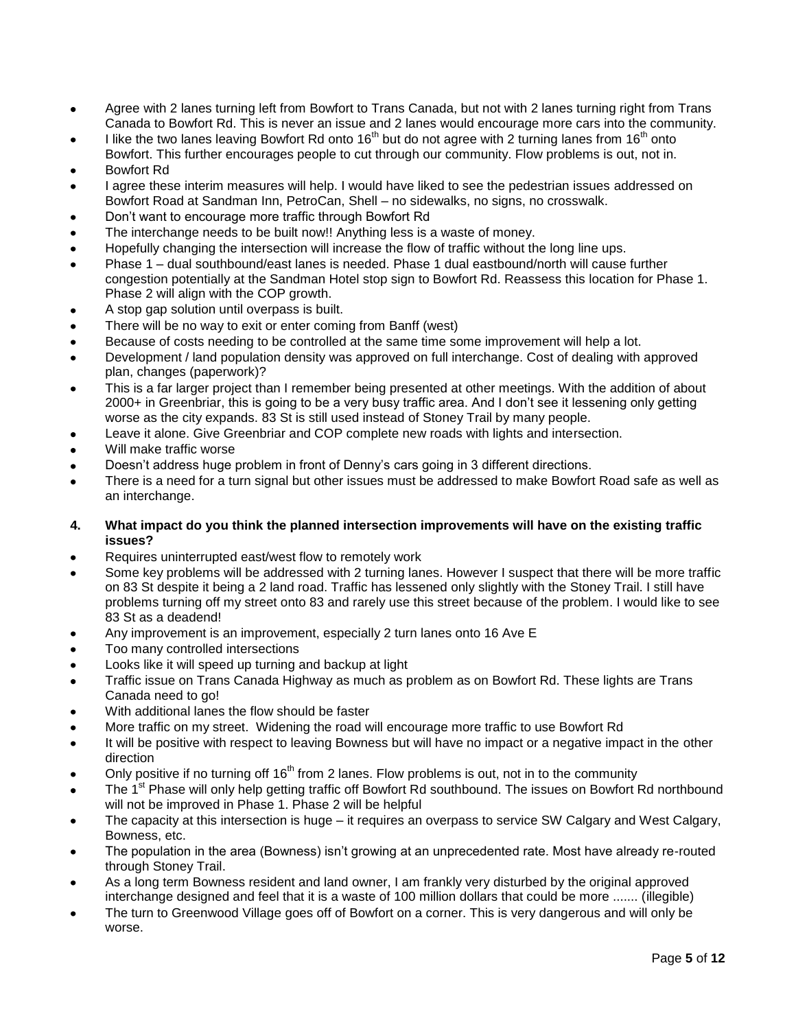- Agree with 2 lanes turning left from Bowfort to Trans Canada, but not with 2 lanes turning right from Trans Canada to Bowfort Rd. This is never an issue and 2 lanes would encourage more cars into the community.
- I like the two lanes leaving Bowfort Rd onto 16<sup>th</sup> but do not agree with 2 turning lanes from 16<sup>th</sup> onto Bowfort. This further encourages people to cut through our community. Flow problems is out, not in.
- Bowfort Rd
- I agree these interim measures will help. I would have liked to see the pedestrian issues addressed on Bowfort Road at Sandman Inn, PetroCan, Shell – no sidewalks, no signs, no crosswalk.
- Don"t want to encourage more traffic through Bowfort Rd
- The interchange needs to be built now!! Anything less is a waste of money.
- Hopefully changing the intersection will increase the flow of traffic without the long line ups.
- Phase 1 dual southbound/east lanes is needed. Phase 1 dual eastbound/north will cause further congestion potentially at the Sandman Hotel stop sign to Bowfort Rd. Reassess this location for Phase 1. Phase 2 will align with the COP growth.
- A stop gap solution until overpass is built.
- There will be no way to exit or enter coming from Banff (west)
- Because of costs needing to be controlled at the same time some improvement will help a lot.
- Development / land population density was approved on full interchange. Cost of dealing with approved plan, changes (paperwork)?
- This is a far larger project than I remember being presented at other meetings. With the addition of about 2000+ in Greenbriar, this is going to be a very busy traffic area. And I don"t see it lessening only getting worse as the city expands. 83 St is still used instead of Stoney Trail by many people.
- Leave it alone. Give Greenbriar and COP complete new roads with lights and intersection.
- Will make traffic worse
- Doesn"t address huge problem in front of Denny"s cars going in 3 different directions.
- There is a need for a turn signal but other issues must be addressed to make Bowfort Road safe as well as an interchange.
- **4. What impact do you think the planned intersection improvements will have on the existing traffic issues?**
- Requires uninterrupted east/west flow to remotely work
- Some key problems will be addressed with 2 turning lanes. However I suspect that there will be more traffic on 83 St despite it being a 2 land road. Traffic has lessened only slightly with the Stoney Trail. I still have problems turning off my street onto 83 and rarely use this street because of the problem. I would like to see 83 St as a deadend!
- Any improvement is an improvement, especially 2 turn lanes onto 16 Ave E
- Too many controlled intersections
- Looks like it will speed up turning and backup at light
- Traffic issue on Trans Canada Highway as much as problem as on Bowfort Rd. These lights are Trans Canada need to go!
- With additional lanes the flow should be faster
- More traffic on my street. Widening the road will encourage more traffic to use Bowfort Rd
- It will be positive with respect to leaving Bowness but will have no impact or a negative impact in the other direction
- Only positive if no turning off  $16<sup>th</sup>$  from 2 lanes. Flow problems is out, not in to the community
- The 1<sup>st</sup> Phase will only help getting traffic off Bowfort Rd southbound. The issues on Bowfort Rd northbound will not be improved in Phase 1. Phase 2 will be helpful
- The capacity at this intersection is huge it requires an overpass to service SW Calgary and West Calgary, Bowness, etc.
- The population in the area (Bowness) isn"t growing at an unprecedented rate. Most have already re-routed through Stoney Trail.
- As a long term Bowness resident and land owner, I am frankly very disturbed by the original approved interchange designed and feel that it is a waste of 100 million dollars that could be more ....... (illegible)
- The turn to Greenwood Village goes off of Bowfort on a corner. This is very dangerous and will only be worse.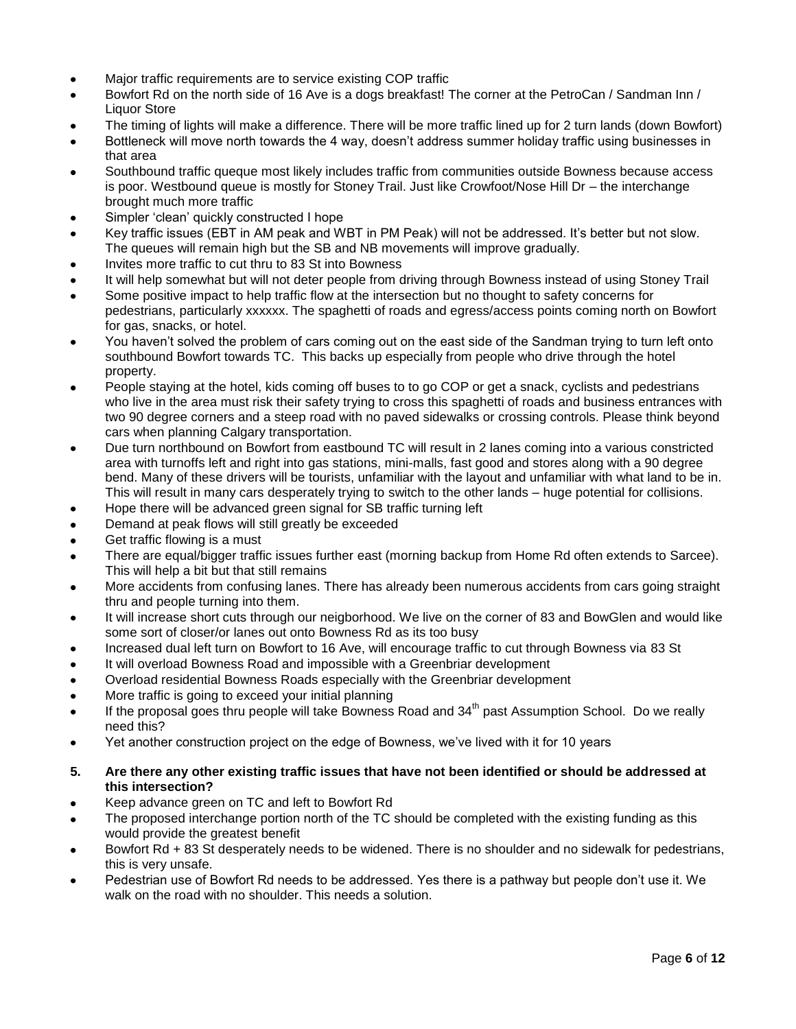- Major traffic requirements are to service existing COP traffic
- Bowfort Rd on the north side of 16 Ave is a dogs breakfast! The corner at the PetroCan / Sandman Inn / Liquor Store
- The timing of lights will make a difference. There will be more traffic lined up for 2 turn lands (down Bowfort)
- Bottleneck will move north towards the 4 way, doesn't address summer holiday traffic using businesses in that area
- Southbound traffic queque most likely includes traffic from communities outside Bowness because access is poor. Westbound queue is mostly for Stoney Trail. Just like Crowfoot/Nose Hill Dr – the interchange brought much more traffic
- Simpler 'clean' quickly constructed I hope
- Key traffic issues (EBT in AM peak and WBT in PM Peak) will not be addressed. It's better but not slow. The queues will remain high but the SB and NB movements will improve gradually.
- Invites more traffic to cut thru to 83 St into Bowness
- It will help somewhat but will not deter people from driving through Bowness instead of using Stoney Trail
- Some positive impact to help traffic flow at the intersection but no thought to safety concerns for pedestrians, particularly xxxxxx. The spaghetti of roads and egress/access points coming north on Bowfort for gas, snacks, or hotel.
- You haven"t solved the problem of cars coming out on the east side of the Sandman trying to turn left onto southbound Bowfort towards TC. This backs up especially from people who drive through the hotel property.
- People staying at the hotel, kids coming off buses to to go COP or get a snack, cyclists and pedestrians who live in the area must risk their safety trying to cross this spaghetti of roads and business entrances with two 90 degree corners and a steep road with no paved sidewalks or crossing controls. Please think beyond cars when planning Calgary transportation.
- Due turn northbound on Bowfort from eastbound TC will result in 2 lanes coming into a various constricted area with turnoffs left and right into gas stations, mini-malls, fast good and stores along with a 90 degree bend. Many of these drivers will be tourists, unfamiliar with the layout and unfamiliar with what land to be in. This will result in many cars desperately trying to switch to the other lands – huge potential for collisions.
- Hope there will be advanced green signal for SB traffic turning left
- Demand at peak flows will still greatly be exceeded
- Get traffic flowing is a must
- There are equal/bigger traffic issues further east (morning backup from Home Rd often extends to Sarcee). This will help a bit but that still remains
- More accidents from confusing lanes. There has already been numerous accidents from cars going straight thru and people turning into them.
- It will increase short cuts through our neigborhood. We live on the corner of 83 and BowGlen and would like some sort of closer/or lanes out onto Bowness Rd as its too busy
- Increased dual left turn on Bowfort to 16 Ave, will encourage traffic to cut through Bowness via 83 St
- It will overload Bowness Road and impossible with a Greenbriar development
- Overload residential Bowness Roads especially with the Greenbriar development
- More traffic is going to exceed your initial planning
- If the proposal goes thru people will take Bowness Road and 34<sup>th</sup> past Assumption School. Do we really need this?
- Yet another construction project on the edge of Bowness, we"ve lived with it for 10 years

## **5. Are there any other existing traffic issues that have not been identified or should be addressed at this intersection?**

- Keep advance green on TC and left to Bowfort Rd
- The proposed interchange portion north of the TC should be completed with the existing funding as this would provide the greatest benefit
- Bowfort Rd + 83 St desperately needs to be widened. There is no shoulder and no sidewalk for pedestrians, this is very unsafe.
- Pedestrian use of Bowfort Rd needs to be addressed. Yes there is a pathway but people don"t use it. We walk on the road with no shoulder. This needs a solution.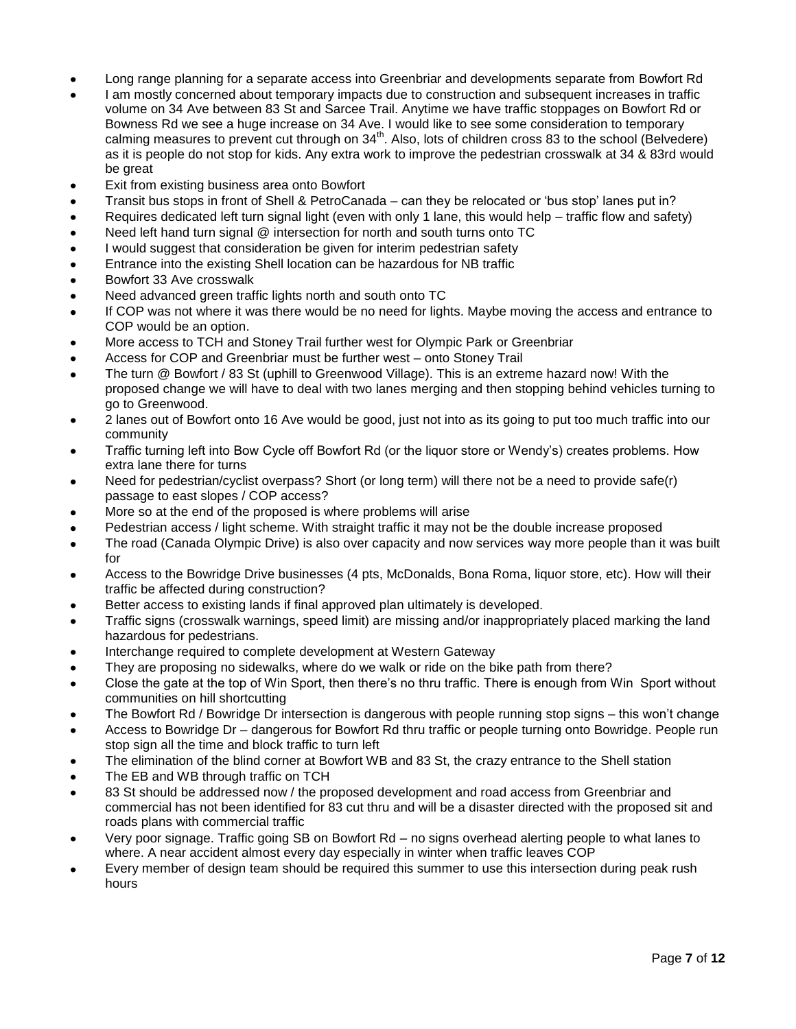- Long range planning for a separate access into Greenbriar and developments separate from Bowfort Rd
- I am mostly concerned about temporary impacts due to construction and subsequent increases in traffic volume on 34 Ave between 83 St and Sarcee Trail. Anytime we have traffic stoppages on Bowfort Rd or Bowness Rd we see a huge increase on 34 Ave. I would like to see some consideration to temporary calming measures to prevent cut through on 34<sup>th</sup>. Also, lots of children cross 83 to the school (Belvedere) as it is people do not stop for kids. Any extra work to improve the pedestrian crosswalk at 34 & 83rd would be great
- Exit from existing business area onto Bowfort
- Transit bus stops in front of Shell & PetroCanada can they be relocated or "bus stop" lanes put in?
- Requires dedicated left turn signal light (even with only 1 lane, this would help traffic flow and safety)
- Need left hand turn signal @ intersection for north and south turns onto TC
- I would suggest that consideration be given for interim pedestrian safety
- Entrance into the existing Shell location can be hazardous for NB traffic
- Bowfort 33 Ave crosswalk
- Need advanced green traffic lights north and south onto TC
- If COP was not where it was there would be no need for lights. Maybe moving the access and entrance to COP would be an option.
- More access to TCH and Stoney Trail further west for Olympic Park or Greenbriar
- Access for COP and Greenbriar must be further west onto Stoney Trail
- The turn @ Bowfort / 83 St (uphill to Greenwood Village). This is an extreme hazard now! With the proposed change we will have to deal with two lanes merging and then stopping behind vehicles turning to go to Greenwood.
- 2 lanes out of Bowfort onto 16 Ave would be good, just not into as its going to put too much traffic into our community
- Traffic turning left into Bow Cycle off Bowfort Rd (or the liquor store or Wendy"s) creates problems. How extra lane there for turns
- Need for pedestrian/cyclist overpass? Short (or long term) will there not be a need to provide safe(r) passage to east slopes / COP access?
- More so at the end of the proposed is where problems will arise
- Pedestrian access / light scheme. With straight traffic it may not be the double increase proposed
- The road (Canada Olympic Drive) is also over capacity and now services way more people than it was built for
- Access to the Bowridge Drive businesses (4 pts, McDonalds, Bona Roma, liquor store, etc). How will their traffic be affected during construction?
- Better access to existing lands if final approved plan ultimately is developed.
- Traffic signs (crosswalk warnings, speed limit) are missing and/or inappropriately placed marking the land hazardous for pedestrians.
- Interchange required to complete development at Western Gateway
- They are proposing no sidewalks, where do we walk or ride on the bike path from there?
- Close the gate at the top of Win Sport, then there"s no thru traffic. There is enough from Win Sport without communities on hill shortcutting
- The Bowfort Rd / Bowridge Dr intersection is dangerous with people running stop signs this won"t change
- Access to Bowridge Dr dangerous for Bowfort Rd thru traffic or people turning onto Bowridge. People run stop sign all the time and block traffic to turn left
- The elimination of the blind corner at Bowfort WB and 83 St, the crazy entrance to the Shell station
- The EB and WB through traffic on TCH
- 83 St should be addressed now / the proposed development and road access from Greenbriar and commercial has not been identified for 83 cut thru and will be a disaster directed with the proposed sit and roads plans with commercial traffic
- Very poor signage. Traffic going SB on Bowfort Rd no signs overhead alerting people to what lanes to where. A near accident almost every day especially in winter when traffic leaves COP
- Every member of design team should be required this summer to use this intersection during peak rush hours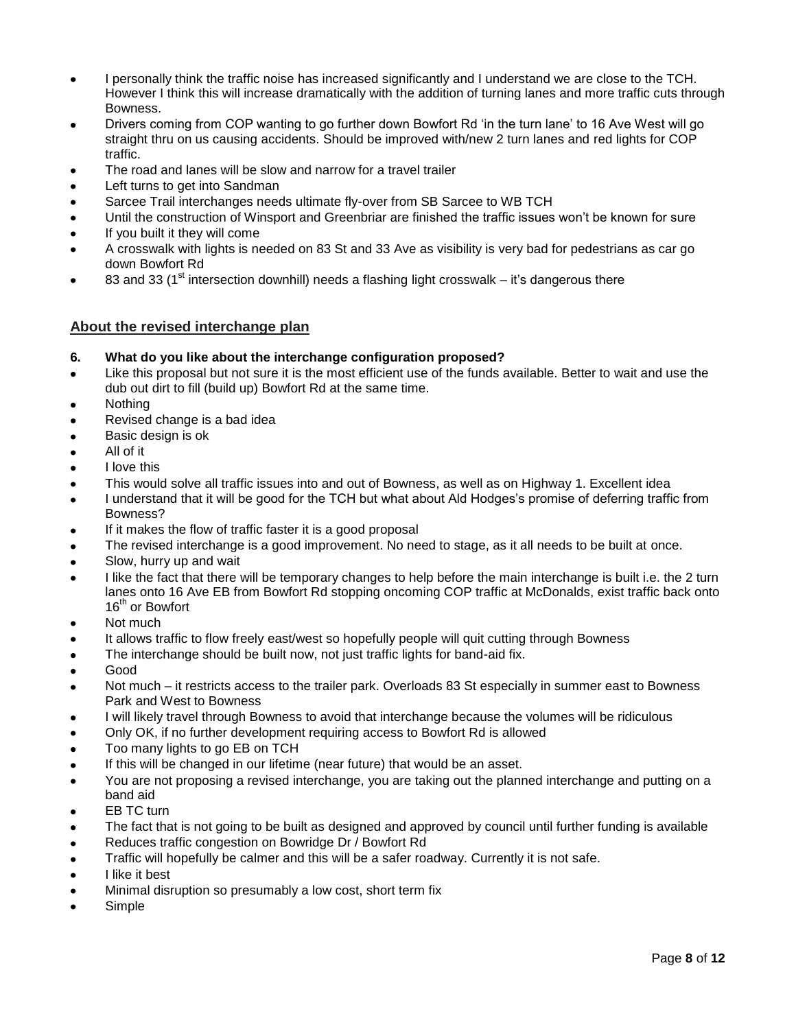- I personally think the traffic noise has increased significantly and I understand we are close to the TCH. However I think this will increase dramatically with the addition of turning lanes and more traffic cuts through Bowness.
- Drivers coming from COP wanting to go further down Bowfort Rd "in the turn lane" to 16 Ave West will go straight thru on us causing accidents. Should be improved with/new 2 turn lanes and red lights for COP traffic.
- The road and lanes will be slow and narrow for a travel trailer
- Left turns to get into Sandman
- Sarcee Trail interchanges needs ultimate fly-over from SB Sarcee to WB TCH
- Until the construction of Winsport and Greenbriar are finished the traffic issues won"t be known for sure
- If you built it they will come
- A crosswalk with lights is needed on 83 St and 33 Ave as visibility is very bad for pedestrians as car go down Bowfort Rd
- 83 and 33 ( $1<sup>st</sup>$  intersection downhill) needs a flashing light crosswalk it's dangerous there

# **About the revised interchange plan**

- **6. What do you like about the interchange configuration proposed?**
- Like this proposal but not sure it is the most efficient use of the funds available. Better to wait and use the dub out dirt to fill (build up) Bowfort Rd at the same time.
- **Nothing**
- Revised change is a bad idea
- Basic design is ok
- All of it
- I love this
- This would solve all traffic issues into and out of Bowness, as well as on Highway 1. Excellent idea
- I understand that it will be good for the TCH but what about Ald Hodges"s promise of deferring traffic from Bowness?
- If it makes the flow of traffic faster it is a good proposal
- The revised interchange is a good improvement. No need to stage, as it all needs to be built at once.
- Slow, hurry up and wait
- I like the fact that there will be temporary changes to help before the main interchange is built i.e. the 2 turn lanes onto 16 Ave EB from Bowfort Rd stopping oncoming COP traffic at McDonalds, exist traffic back onto 16<sup>th</sup> or Bowfort
- Not much
- It allows traffic to flow freely east/west so hopefully people will quit cutting through Bowness
- The interchange should be built now, not just traffic lights for band-aid fix.
- Good
- Not much it restricts access to the trailer park. Overloads 83 St especially in summer east to Bowness Park and West to Bowness
- I will likely travel through Bowness to avoid that interchange because the volumes will be ridiculous
- Only OK, if no further development requiring access to Bowfort Rd is allowed
- Too many lights to go EB on TCH
- If this will be changed in our lifetime (near future) that would be an asset.
- You are not proposing a revised interchange, you are taking out the planned interchange and putting on a band aid
- EB TC turn
- The fact that is not going to be built as designed and approved by council until further funding is available
- Reduces traffic congestion on Bowridge Dr / Bowfort Rd
- Traffic will hopefully be calmer and this will be a safer roadway. Currently it is not safe.
- I like it best
- Minimal disruption so presumably a low cost, short term fix
- Simple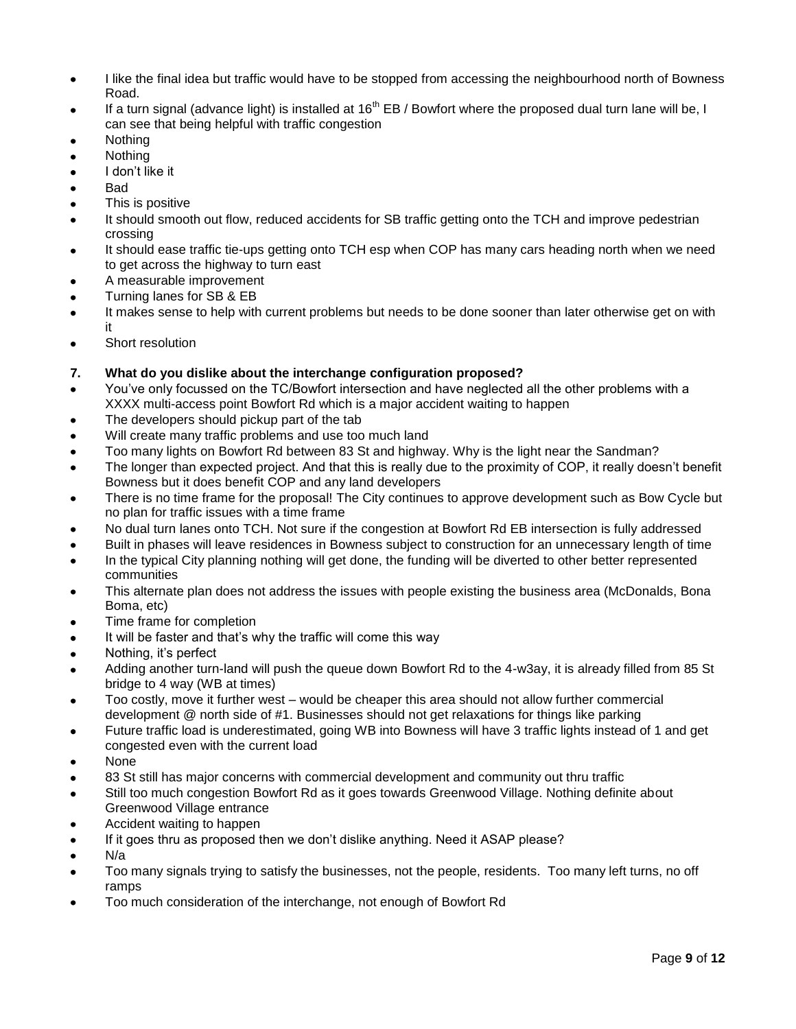- I like the final idea but traffic would have to be stopped from accessing the neighbourhood north of Bowness Road.
- If a turn signal (advance light) is installed at  $16^{th}$  EB / Bowfort where the proposed dual turn lane will be, I can see that being helpful with traffic congestion
- Nothing
- Nothing
- I don"t like it
- Bad
- This is positive
- It should smooth out flow, reduced accidents for SB traffic getting onto the TCH and improve pedestrian crossing
- It should ease traffic tie-ups getting onto TCH esp when COP has many cars heading north when we need to get across the highway to turn east
- A measurable improvement
- Turning lanes for SB & EB
- It makes sense to help with current problems but needs to be done sooner than later otherwise get on with it
- Short resolution

# **7. What do you dislike about the interchange configuration proposed?**

- You"ve only focussed on the TC/Bowfort intersection and have neglected all the other problems with a XXXX multi-access point Bowfort Rd which is a major accident waiting to happen
- The developers should pickup part of the tab
- Will create many traffic problems and use too much land
- Too many lights on Bowfort Rd between 83 St and highway. Why is the light near the Sandman?
- The longer than expected project. And that this is really due to the proximity of COP, it really doesn"t benefit Bowness but it does benefit COP and any land developers
- There is no time frame for the proposal! The City continues to approve development such as Bow Cycle but no plan for traffic issues with a time frame
- No dual turn lanes onto TCH. Not sure if the congestion at Bowfort Rd EB intersection is fully addressed
- Built in phases will leave residences in Bowness subject to construction for an unnecessary length of time
- In the typical City planning nothing will get done, the funding will be diverted to other better represented communities
- This alternate plan does not address the issues with people existing the business area (McDonalds, Bona Boma, etc)
- Time frame for completion
- It will be faster and that"s why the traffic will come this way
- Nothing, it"s perfect
- Adding another turn-land will push the queue down Bowfort Rd to the 4-w3ay, it is already filled from 85 St bridge to 4 way (WB at times)
- Too costly, move it further west would be cheaper this area should not allow further commercial development @ north side of #1. Businesses should not get relaxations for things like parking
- Future traffic load is underestimated, going WB into Bowness will have 3 traffic lights instead of 1 and get congested even with the current load
- None
- 83 St still has major concerns with commercial development and community out thru traffic
- Still too much congestion Bowfort Rd as it goes towards Greenwood Village. Nothing definite about Greenwood Village entrance
- Accident waiting to happen
- If it goes thru as proposed then we don"t dislike anything. Need it ASAP please?
- N/a
- Too many signals trying to satisfy the businesses, not the people, residents. Too many left turns, no off ramps
- Too much consideration of the interchange, not enough of Bowfort Rd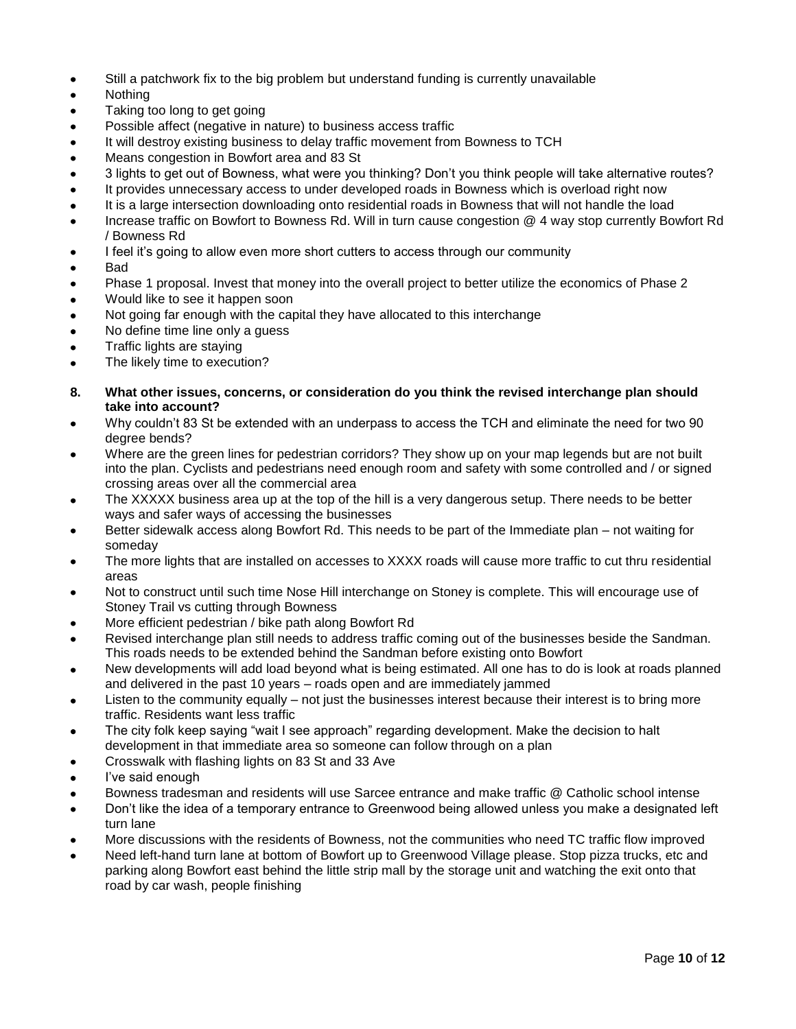- Still a patchwork fix to the big problem but understand funding is currently unavailable
- Nothing
- Taking too long to get going
- Possible affect (negative in nature) to business access traffic
- It will destroy existing business to delay traffic movement from Bowness to TCH
- Means congestion in Bowfort area and 83 St
- 3 lights to get out of Bowness, what were you thinking? Don"t you think people will take alternative routes?
- It provides unnecessary access to under developed roads in Bowness which is overload right now
- It is a large intersection downloading onto residential roads in Bowness that will not handle the load
- Increase traffic on Bowfort to Bowness Rd. Will in turn cause congestion @ 4 way stop currently Bowfort Rd / Bowness Rd
- I feel it's going to allow even more short cutters to access through our community
- Bad
- Phase 1 proposal. Invest that money into the overall project to better utilize the economics of Phase 2
- Would like to see it happen soon
- Not going far enough with the capital they have allocated to this interchange
- No define time line only a guess
- Traffic lights are staying
- The likely time to execution?
- **8. What other issues, concerns, or consideration do you think the revised interchange plan should take into account?**
- Why couldn"t 83 St be extended with an underpass to access the TCH and eliminate the need for two 90 degree bends?
- Where are the green lines for pedestrian corridors? They show up on your map legends but are not built into the plan. Cyclists and pedestrians need enough room and safety with some controlled and / or signed crossing areas over all the commercial area
- The XXXXX business area up at the top of the hill is a very dangerous setup. There needs to be better ways and safer ways of accessing the businesses
- Better sidewalk access along Bowfort Rd. This needs to be part of the Immediate plan not waiting for someday
- The more lights that are installed on accesses to XXXX roads will cause more traffic to cut thru residential areas
- Not to construct until such time Nose Hill interchange on Stoney is complete. This will encourage use of Stoney Trail vs cutting through Bowness
- More efficient pedestrian / bike path along Bowfort Rd
- Revised interchange plan still needs to address traffic coming out of the businesses beside the Sandman. This roads needs to be extended behind the Sandman before existing onto Bowfort
- New developments will add load beyond what is being estimated. All one has to do is look at roads planned and delivered in the past 10 years – roads open and are immediately jammed
- Listen to the community equally not just the businesses interest because their interest is to bring more traffic. Residents want less traffic
- The city folk keep saying "wait I see approach" regarding development. Make the decision to halt development in that immediate area so someone can follow through on a plan
- Crosswalk with flashing lights on 83 St and 33 Ave
- I've said enough
- Bowness tradesman and residents will use Sarcee entrance and make traffic @ Catholic school intense
- Don"t like the idea of a temporary entrance to Greenwood being allowed unless you make a designated left turn lane
- More discussions with the residents of Bowness, not the communities who need TC traffic flow improved
- Need left-hand turn lane at bottom of Bowfort up to Greenwood Village please. Stop pizza trucks, etc and parking along Bowfort east behind the little strip mall by the storage unit and watching the exit onto that road by car wash, people finishing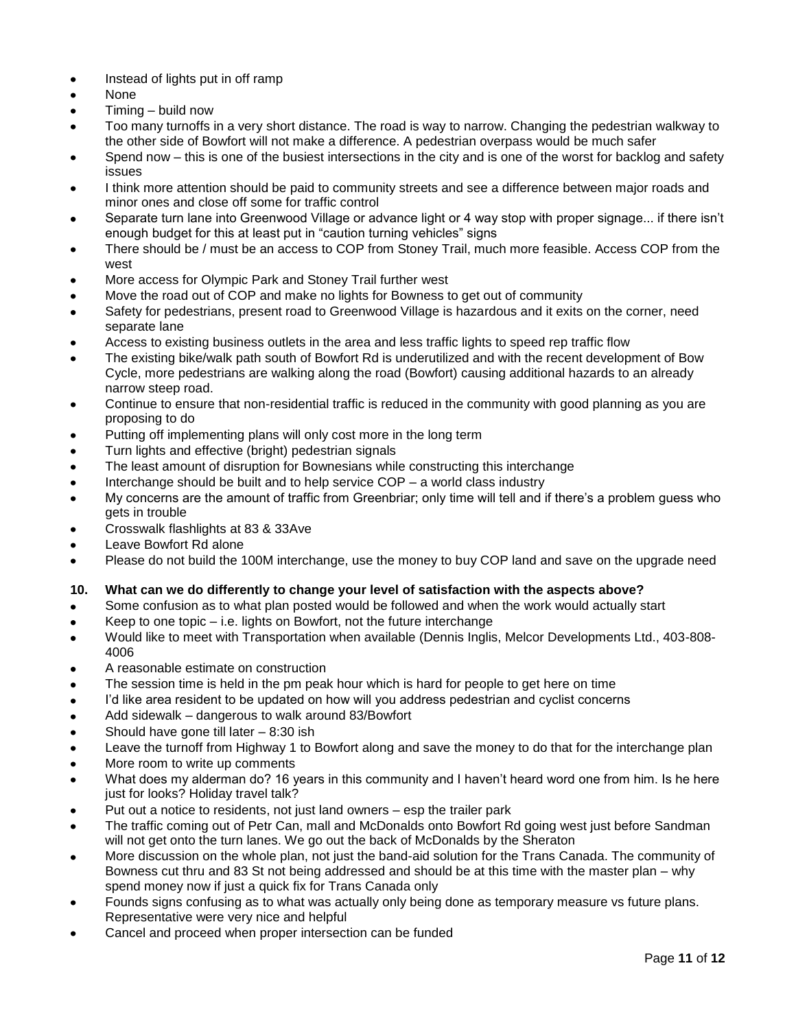- Instead of lights put in off ramp
- None
- Timing build now
- Too many turnoffs in a very short distance. The road is way to narrow. Changing the pedestrian walkway to the other side of Bowfort will not make a difference. A pedestrian overpass would be much safer
- Spend now this is one of the busiest intersections in the city and is one of the worst for backlog and safety issues
- I think more attention should be paid to community streets and see a difference between major roads and minor ones and close off some for traffic control
- Separate turn lane into Greenwood Village or advance light or 4 way stop with proper signage... if there isn"t enough budget for this at least put in "caution turning vehicles" signs
- There should be / must be an access to COP from Stoney Trail, much more feasible. Access COP from the west
- More access for Olympic Park and Stoney Trail further west
- Move the road out of COP and make no lights for Bowness to get out of community
- Safety for pedestrians, present road to Greenwood Village is hazardous and it exits on the corner, need separate lane
- Access to existing business outlets in the area and less traffic lights to speed rep traffic flow
- The existing bike/walk path south of Bowfort Rd is underutilized and with the recent development of Bow Cycle, more pedestrians are walking along the road (Bowfort) causing additional hazards to an already narrow steep road.
- Continue to ensure that non-residential traffic is reduced in the community with good planning as you are proposing to do
- Putting off implementing plans will only cost more in the long term
- Turn lights and effective (bright) pedestrian signals
- The least amount of disruption for Bownesians while constructing this interchange
- Interchange should be built and to help service COP a world class industry
- My concerns are the amount of traffic from Greenbriar; only time will tell and if there"s a problem guess who gets in trouble
- Crosswalk flashlights at 83 & 33Ave
- Leave Bowfort Rd alone
- Please do not build the 100M interchange, use the money to buy COP land and save on the upgrade need

## **10. What can we do differently to change your level of satisfaction with the aspects above?**

- Some confusion as to what plan posted would be followed and when the work would actually start
- Keep to one topic i.e. lights on Bowfort, not the future interchange
- Would like to meet with Transportation when available (Dennis Inglis, Melcor Developments Ltd., 403-808- 4006
- A reasonable estimate on construction
- The session time is held in the pm peak hour which is hard for people to get here on time
- I'd like area resident to be updated on how will you address pedestrian and cyclist concerns
- Add sidewalk dangerous to walk around 83/Bowfort
- Should have gone till later 8:30 ish
- Leave the turnoff from Highway 1 to Bowfort along and save the money to do that for the interchange plan
- More room to write up comments
- What does my alderman do? 16 years in this community and I haven't heard word one from him. Is he here just for looks? Holiday travel talk?
- Put out a notice to residents, not just land owners esp the trailer park
- The traffic coming out of Petr Can, mall and McDonalds onto Bowfort Rd going west just before Sandman will not get onto the turn lanes. We go out the back of McDonalds by the Sheraton
- More discussion on the whole plan, not just the band-aid solution for the Trans Canada. The community of Bowness cut thru and 83 St not being addressed and should be at this time with the master plan – why spend money now if just a quick fix for Trans Canada only
- Founds signs confusing as to what was actually only being done as temporary measure vs future plans. Representative were very nice and helpful
- Cancel and proceed when proper intersection can be funded